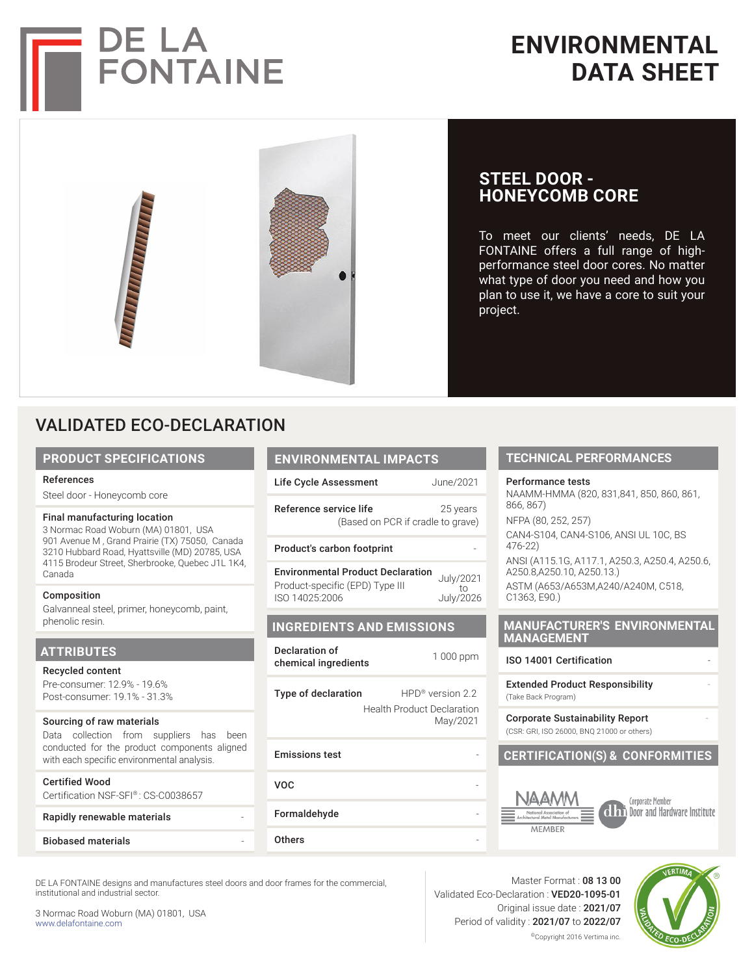

# **ENVIRONMENTAL DATA SHEET**

**TECHNICAL PERFORMANCES**

NAAMM-HMMA (820, 831,841, 850, 860, 861,

CAN4-S104, CAN4-S106, ANSI UL 10C, BS

ASTM (A653/A653M,A240/A240M, C518,

ANSI (A115.1G, A117.1, A250.3, A250.4, A250.6,

**MANUFACTURER'S ENVIRONMENTAL** 

**CERTIFICATION(S) & CONFORMITIES**

Performance tests

**STEEL DOOR -** 

project.

**HONEYCOMB CORE**

To meet our clients' needs, DE LA FONTAINE offers a full range of highperformance steel door cores. No matter what type of door you need and how you plan to use it, we have a core to suit your

NFPA (80, 252, 257)

A250.8,A250.10, A250.13.)

866, 867)

476-22)

C1363, E90.)

**MANAGEMENT**

(Take Back Program)

ISO 14001 Certification

**Extended Product Responsibility** 

Corporate Sustainability Report (CSR: GRI, ISO 26000, BNQ 21000 or others)



# VALIDATED ECO-DECLARATION

#### **PRODUCT SPECIFICATIONS**

#### References

Steel door - Honeycomb core

#### Final manufacturing location

3 Normac Road Woburn (MA) 01801, USA 901 Avenue M , Grand Prairie (TX) 75050, Canada 3210 Hubbard Road, Hyattsville (MD) 20785, USA 4115 Brodeur Street, Sherbrooke, Quebec J1L 1K4, Canada

#### Composition

Galvanneal steel, primer, honeycomb, paint, phenolic resin.

#### **ATTRIBUTES**

Recycled content Pre-consumer: 12.9% - 19.6% Post-consumer: 19.1% - 31.3%

#### Sourcing of raw materials

Data collection from suppliers has been conducted for the product components aligned with each specific environmental analysis.

| <b>Certified Wood</b>               |  |
|-------------------------------------|--|
| Certification NSF-SFI®: CS-C0038657 |  |
| Rapidly renewable materials         |  |

### **Biobased materials**

| <b>ENVIRONMENTAL IMPACTS</b> |  |
|------------------------------|--|
|                              |  |

Life Cycle Assessment June/2021 Reference service life 25 years

(Based on PCR if cradle to grave)

Product's carbon footprint

Environmental Product Declaration Product-specific (EPD) Type III ISO 14025:2006 July/2021 to July/2026

#### **INGREDIENTS AND EMISSIONS**

| Declaration of       | 1 000 ppm |
|----------------------|-----------|
| chemical ingredients |           |

Type of declaration HPD<sup>®</sup> version 2.2 Health Product Declaration May/2021

| <b>Emissions test</b> |  |
|-----------------------|--|
| <b>VOC</b>            |  |
| Formaldehyde          |  |
| <b>Others</b>         |  |

Cornorate Member dhi Door and Hardware Institute

DE LA FONTAINE designs and manufactures steel doors and door frames for the commercial, institutional and industrial sector.

3 Normac Road Woburn (MA) 01801, USA www.delafontaine.com

#### Master Format : 08 13 00 Validated Eco-Declaration : VED20-1095-01 Original issue date : 2021/07 Period of validity : 2021/07 to 2022/07 ©Copyright 2016 Vertima inc.